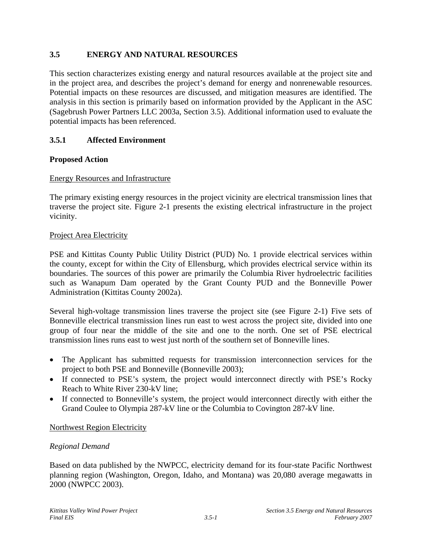# **3.5 ENERGY AND NATURAL RESOURCES**

This section characterizes existing energy and natural resources available at the project site and in the project area, and describes the project's demand for energy and nonrenewable resources. Potential impacts on these resources are discussed, and mitigation measures are identified. The analysis in this section is primarily based on information provided by the Applicant in the ASC (Sagebrush Power Partners LLC 2003a, Section 3.5). Additional information used to evaluate the potential impacts has been referenced.

# **3.5.1 Affected Environment**

# **Proposed Action**

# Energy Resources and Infrastructure

The primary existing energy resources in the project vicinity are electrical transmission lines that traverse the project site. Figure 2-1 presents the existing electrical infrastructure in the project vicinity.

# Project Area Electricity

PSE and Kittitas County Public Utility District (PUD) No. 1 provide electrical services within the county, except for within the City of Ellensburg, which provides electrical service within its boundaries. The sources of this power are primarily the Columbia River hydroelectric facilities such as Wanapum Dam operated by the Grant County PUD and the Bonneville Power Administration (Kittitas County 2002a).

Several high-voltage transmission lines traverse the project site (see Figure 2-1) Five sets of Bonneville electrical transmission lines run east to west across the project site, divided into one group of four near the middle of the site and one to the north. One set of PSE electrical transmission lines runs east to west just north of the southern set of Bonneville lines.

- The Applicant has submitted requests for transmission interconnection services for the project to both PSE and Bonneville (Bonneville 2003);
- If connected to PSE's system, the project would interconnect directly with PSE's Rocky Reach to White River 230-kV line;
- If connected to Bonneville's system, the project would interconnect directly with either the Grand Coulee to Olympia 287-kV line or the Columbia to Covington 287-kV line.

# Northwest Region Electricity

# *Regional Demand*

Based on data published by the NWPCC, electricity demand for its four-state Pacific Northwest planning region (Washington, Oregon, Idaho, and Montana) was 20,080 average megawatts in 2000 (NWPCC 2003).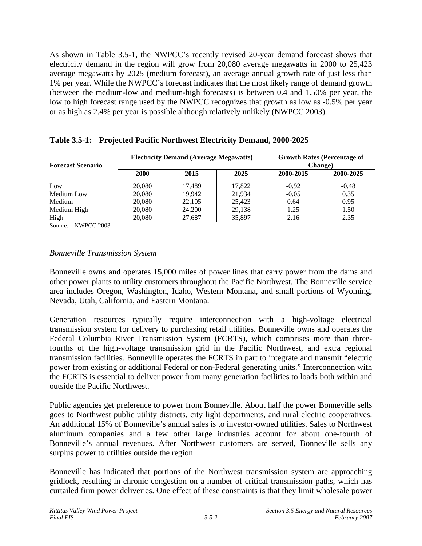As shown in Table 3.5-1, the NWPCC's recently revised 20-year demand forecast shows that electricity demand in the region will grow from 20,080 average megawatts in 2000 to 25,423 average megawatts by 2025 (medium forecast), an average annual growth rate of just less than 1% per year. While the NWPCC's forecast indicates that the most likely range of demand growth (between the medium-low and medium-high forecasts) is between 0.4 and 1.50% per year, the low to high forecast range used by the NWPCC recognizes that growth as low as -0.5% per year or as high as 2.4% per year is possible although relatively unlikely (NWPCC 2003).

| <b>Forecast Scenario</b> | <b>Electricity Demand (Average Megawatts)</b> |        |        | <b>Growth Rates (Percentage of</b><br>Change) |           |  |
|--------------------------|-----------------------------------------------|--------|--------|-----------------------------------------------|-----------|--|
|                          | <b>2000</b>                                   | 2015   | 2025   | 2000-2015                                     | 2000-2025 |  |
| Low                      | 20,080                                        | 17.489 | 17,822 | $-0.92$                                       | $-0.48$   |  |
| Medium Low               | 20,080                                        | 19.942 | 21,934 | $-0.05$                                       | 0.35      |  |
| Medium                   | 20,080                                        | 22,105 | 25,423 | 0.64                                          | 0.95      |  |
| Medium High              | 20,080                                        | 24,200 | 29,138 | 1.25                                          | 1.50      |  |
| High                     | 20,080                                        | 27,687 | 35,897 | 2.16                                          | 2.35      |  |

**Table 3.5-1: Projected Pacific Northwest Electricity Demand, 2000-2025** 

Source: NWPCC 2003.

# *Bonneville Transmission System*

Bonneville owns and operates 15,000 miles of power lines that carry power from the dams and other power plants to utility customers throughout the Pacific Northwest. The Bonneville service area includes Oregon, Washington, Idaho, Western Montana, and small portions of Wyoming, Nevada, Utah, California, and Eastern Montana.

Generation resources typically require interconnection with a high-voltage electrical transmission system for delivery to purchasing retail utilities. Bonneville owns and operates the Federal Columbia River Transmission System (FCRTS), which comprises more than threefourths of the high-voltage transmission grid in the Pacific Northwest, and extra regional transmission facilities. Bonneville operates the FCRTS in part to integrate and transmit "electric power from existing or additional Federal or non-Federal generating units." Interconnection with the FCRTS is essential to deliver power from many generation facilities to loads both within and outside the Pacific Northwest.

Public agencies get preference to power from Bonneville. About half the power Bonneville sells goes to Northwest public utility districts, city light departments, and rural electric cooperatives. An additional 15% of Bonneville's annual sales is to investor-owned utilities. Sales to Northwest aluminum companies and a few other large industries account for about one-fourth of Bonneville's annual revenues. After Northwest customers are served, Bonneville sells any surplus power to utilities outside the region.

Bonneville has indicated that portions of the Northwest transmission system are approaching gridlock, resulting in chronic congestion on a number of critical transmission paths, which has curtailed firm power deliveries. One effect of these constraints is that they limit wholesale power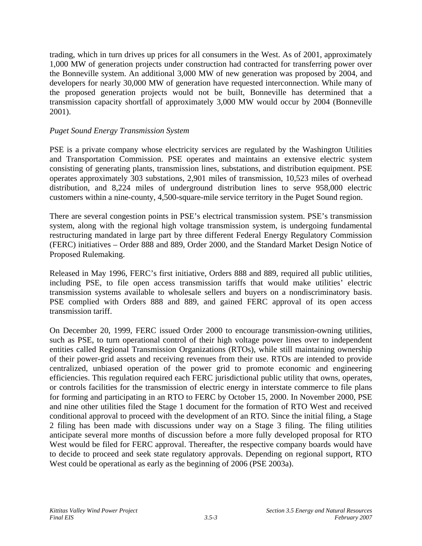trading, which in turn drives up prices for all consumers in the West. As of 2001, approximately 1,000 MW of generation projects under construction had contracted for transferring power over the Bonneville system. An additional 3,000 MW of new generation was proposed by 2004, and developers for nearly 30,000 MW of generation have requested interconnection. While many of the proposed generation projects would not be built, Bonneville has determined that a transmission capacity shortfall of approximately 3,000 MW would occur by 2004 (Bonneville 2001).

#### *Puget Sound Energy Transmission System*

PSE is a private company whose electricity services are regulated by the Washington Utilities and Transportation Commission. PSE operates and maintains an extensive electric system consisting of generating plants, transmission lines, substations, and distribution equipment. PSE operates approximately 303 substations, 2,901 miles of transmission, 10,523 miles of overhead distribution, and 8,224 miles of underground distribution lines to serve 958,000 electric customers within a nine-county, 4,500-square-mile service territory in the Puget Sound region.

There are several congestion points in PSE's electrical transmission system. PSE's transmission system, along with the regional high voltage transmission system, is undergoing fundamental restructuring mandated in large part by three different Federal Energy Regulatory Commission (FERC) initiatives – Order 888 and 889, Order 2000, and the Standard Market Design Notice of Proposed Rulemaking.

Released in May 1996, FERC's first initiative, Orders 888 and 889, required all public utilities, including PSE, to file open access transmission tariffs that would make utilities' electric transmission systems available to wholesale sellers and buyers on a nondiscriminatory basis. PSE complied with Orders 888 and 889, and gained FERC approval of its open access transmission tariff.

On December 20, 1999, FERC issued Order 2000 to encourage transmission-owning utilities, such as PSE, to turn operational control of their high voltage power lines over to independent entities called Regional Transmission Organizations (RTOs), while still maintaining ownership of their power-grid assets and receiving revenues from their use. RTOs are intended to provide centralized, unbiased operation of the power grid to promote economic and engineering efficiencies. This regulation required each FERC jurisdictional public utility that owns, operates, or controls facilities for the transmission of electric energy in interstate commerce to file plans for forming and participating in an RTO to FERC by October 15, 2000. In November 2000, PSE and nine other utilities filed the Stage 1 document for the formation of RTO West and received conditional approval to proceed with the development of an RTO. Since the initial filing, a Stage 2 filing has been made with discussions under way on a Stage 3 filing. The filing utilities anticipate several more months of discussion before a more fully developed proposal for RTO West would be filed for FERC approval. Thereafter, the respective company boards would have to decide to proceed and seek state regulatory approvals. Depending on regional support, RTO West could be operational as early as the beginning of 2006 (PSE 2003a).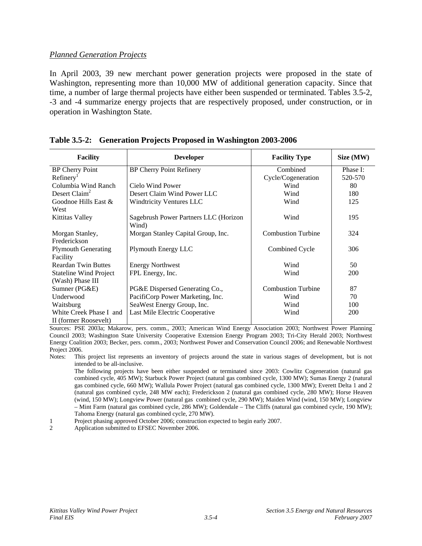#### *Planned Generation Projects*

In April 2003, 39 new merchant power generation projects were proposed in the state of Washington, representing more than 10,000 MW of additional generation capacity. Since that time, a number of large thermal projects have either been suspended or terminated. Tables 3.5-2, -3 and -4 summarize energy projects that are respectively proposed, under construction, or in operation in Washington State.

| <b>Facility</b>               | <b>Developer</b>                      | <b>Facility Type</b>      | Size (MW) |
|-------------------------------|---------------------------------------|---------------------------|-----------|
| <b>BP Cherry Point</b>        | <b>BP Cherry Point Refinery</b>       | Combined                  | Phase I:  |
| Refinery <sup>1</sup>         |                                       | Cycle/Cogeneration        | 520-570   |
| Columbia Wind Ranch           | Cielo Wind Power                      | Wind                      | 80        |
| Desert Claim <sup>2</sup>     | Desert Claim Wind Power LLC           | Wind                      | 180       |
| Goodnoe Hills East &          | <b>Windtricity Ventures LLC</b>       | Wind                      | 125       |
| West                          |                                       |                           |           |
| Kittitas Valley               | Sagebrush Power Partners LLC (Horizon | Wind                      | 195       |
|                               | Wind)                                 |                           |           |
| Morgan Stanley,               | Morgan Stanley Capital Group, Inc.    | <b>Combustion Turbine</b> | 324       |
| Frederickson                  |                                       |                           |           |
| <b>Plymouth Generating</b>    | Plymouth Energy LLC                   | Combined Cycle            | 306       |
| Facility                      |                                       |                           |           |
| <b>Reardan Twin Buttes</b>    | <b>Energy Northwest</b>               | Wind                      | 50        |
| <b>Stateline Wind Project</b> | FPL Energy, Inc.                      | Wind                      | 200       |
| (Wash) Phase III              |                                       |                           |           |
| Sumner (PG&E)                 | PG&E Dispersed Generating Co.,        | <b>Combustion Turbine</b> | 87        |
| Underwood                     | PacifiCorp Power Marketing, Inc.      | Wind                      | 70        |
| Waitsburg                     | SeaWest Energy Group, Inc.            | Wind                      | 100       |
| White Creek Phase I and       | Last Mile Electric Cooperative        | Wind                      | 200       |
| II (former Roosevelt)         |                                       |                           |           |

#### **Table 3.5-2: Generation Projects Proposed in Washington 2003-2006**

Sources: PSE 2003a; Makarow, pers. comm., 2003; American Wind Energy Association 2003; Northwest Power Planning Council 2003; Washington State University Cooperative Extension Energy Program 2003; Tri-City Herald 2003; Northwest Energy Coalition 2003; Becker, pers. comm., 2003; Northwest Power and Conservation Council 2006; and Renewable Northwest Project 2006.

Notes: This project list represents an inventory of projects around the state in various stages of development, but is not intended to be all-inclusive.

 The following projects have been either suspended or terminated since 2003: Cowlitz Cogeneration (natural gas combined cycle, 405 MW); Starbuck Power Project (natural gas combined cycle, 1300 MW); Sumas Energy 2 (natural gas combined cycle, 660 MW); Wallula Power Project (natural gas combined cycle, 1300 MW); Everett Delta 1 and 2 (natural gas combined cycle, 248 MW each); Frederickson 2 (natural gas combined cycle, 280 MW); Horse Heaven (wind, 150 MW); Longview Power (natural gas combined cycle, 290 MW); Maiden Wind (wind, 150 MW); Longview – Mint Farm (natural gas combined cycle, 286 MW); Goldendale – The Cliffs (natural gas combined cycle, 190 MW); Tahoma Energy (natural gas combined cycle, 270 MW).

1 Project phasing approved October 2006; construction expected to begin early 2007.

2 Application submitted to EFSEC November 2006.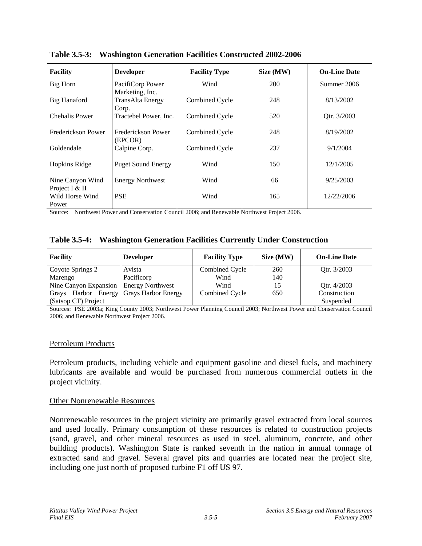| <b>Facility</b>                    | <b>Developer</b>                                    | <b>Facility Type</b> | Size (MW) | <b>On-Line Date</b> |
|------------------------------------|-----------------------------------------------------|----------------------|-----------|---------------------|
| Big Horn                           | PacifiCorp Power                                    | Wind                 | 200       | Summer 2006         |
| <b>Big Hanaford</b>                | Marketing, Inc.<br><b>TransAlta Energy</b><br>Corp. | Combined Cycle       | 248       | 8/13/2002           |
| Chehalis Power                     | Tractebel Power, Inc.                               | Combined Cycle       | 520       | Qtr. 3/2003         |
| Frederickson Power                 | Frederickson Power<br>(EPCOR)                       | Combined Cycle       | 248       | 8/19/2002           |
| Goldendale                         | Calpine Corp.                                       | Combined Cycle       | 237       | 9/1/2004            |
| <b>Hopkins Ridge</b>               | <b>Puget Sound Energy</b>                           | Wind                 | 150       | 12/1/2005           |
| Nine Canyon Wind<br>Project I & II | <b>Energy Northwest</b>                             | Wind                 | 66        | 9/25/2003           |
| Wild Horse Wind<br>Power           | <b>PSE</b>                                          | Wind                 | 165       | 12/22/2006          |

**Table 3.5-3: Washington Generation Facilities Constructed 2002-2006** 

Source: Northwest Power and Conservation Council 2006; and Renewable Northwest Project 2006.

|  | Table 3.5-4: Washington Generation Facilities Currently Under Construction |  |  |  |  |  |
|--|----------------------------------------------------------------------------|--|--|--|--|--|
|--|----------------------------------------------------------------------------|--|--|--|--|--|

| <b>Facility</b>                           | <b>Developer</b>        | <b>Facility Type</b> | Size (MW) | <b>On-Line Date</b> |
|-------------------------------------------|-------------------------|----------------------|-----------|---------------------|
| Coyote Springs 2                          | Avista                  | Combined Cycle       | 260       | Otr. 3/2003         |
| Marengo                                   | Pacificorp              | Wind                 | 140       |                     |
| Nine Canyon Expansion                     | <b>Energy Northwest</b> | Wind                 | 15        | Qtr. 4/2003         |
| Grays Harbor Energy   Grays Harbor Energy |                         | Combined Cycle       | 650       | Construction        |
| (Satsop CT) Project                       |                         |                      |           | Suspended           |

Sources: PSE 2003a; King County 2003; Northwest Power Planning Council 2003; Northwest Power and Conservation Council 2006; and Renewable Northwest Project 2006.

#### Petroleum Products

Petroleum products, including vehicle and equipment gasoline and diesel fuels, and machinery lubricants are available and would be purchased from numerous commercial outlets in the project vicinity.

#### Other Nonrenewable Resources

Nonrenewable resources in the project vicinity are primarily gravel extracted from local sources and used locally. Primary consumption of these resources is related to construction projects (sand, gravel, and other mineral resources as used in steel, aluminum, concrete, and other building products). Washington State is ranked seventh in the nation in annual tonnage of extracted sand and gravel. Several gravel pits and quarries are located near the project site, including one just north of proposed turbine F1 off US 97.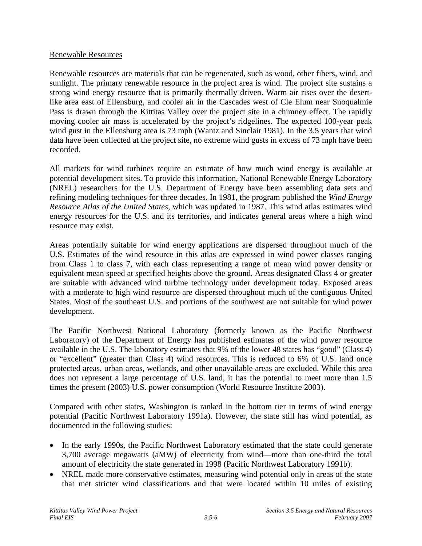#### Renewable Resources

Renewable resources are materials that can be regenerated, such as wood, other fibers, wind, and sunlight. The primary renewable resource in the project area is wind. The project site sustains a strong wind energy resource that is primarily thermally driven. Warm air rises over the desertlike area east of Ellensburg, and cooler air in the Cascades west of Cle Elum near Snoqualmie Pass is drawn through the Kittitas Valley over the project site in a chimney effect. The rapidly moving cooler air mass is accelerated by the project's ridgelines. The expected 100-year peak wind gust in the Ellensburg area is 73 mph (Wantz and Sinclair 1981). In the 3.5 years that wind data have been collected at the project site, no extreme wind gusts in excess of 73 mph have been recorded.

All markets for wind turbines require an estimate of how much wind energy is available at potential development sites. To provide this information, National Renewable Energy Laboratory (NREL) researchers for the U.S. Department of Energy have been assembling data sets and refining modeling techniques for three decades. In 1981, the program published the *Wind Energy Resource Atlas of the United States*, which was updated in 1987. This wind atlas estimates wind energy resources for the U.S. and its territories, and indicates general areas where a high wind resource may exist.

Areas potentially suitable for wind energy applications are dispersed throughout much of the U.S. Estimates of the wind resource in this atlas are expressed in wind power classes ranging from Class 1 to class 7, with each class representing a range of mean wind power density or equivalent mean speed at specified heights above the ground. Areas designated Class 4 or greater are suitable with advanced wind turbine technology under development today. Exposed areas with a moderate to high wind resource are dispersed throughout much of the contiguous United States. Most of the southeast U.S. and portions of the southwest are not suitable for wind power development.

The Pacific Northwest National Laboratory (formerly known as the Pacific Northwest Laboratory) of the Department of Energy has published estimates of the wind power resource available in the U.S. The laboratory estimates that 9% of the lower 48 states has "good" (Class 4) or "excellent" (greater than Class 4) wind resources. This is reduced to 6% of U.S. land once protected areas, urban areas, wetlands, and other unavailable areas are excluded. While this area does not represent a large percentage of U.S. land, it has the potential to meet more than 1.5 times the present (2003) U.S. power consumption (World Resource Institute 2003).

Compared with other states, Washington is ranked in the bottom tier in terms of wind energy potential (Pacific Northwest Laboratory 1991a). However, the state still has wind potential, as documented in the following studies:

- In the early 1990s, the Pacific Northwest Laboratory estimated that the state could generate 3,700 average megawatts (aMW) of electricity from wind—more than one-third the total amount of electricity the state generated in 1998 (Pacific Northwest Laboratory 1991b).
- NREL made more conservative estimates, measuring wind potential only in areas of the state that met stricter wind classifications and that were located within 10 miles of existing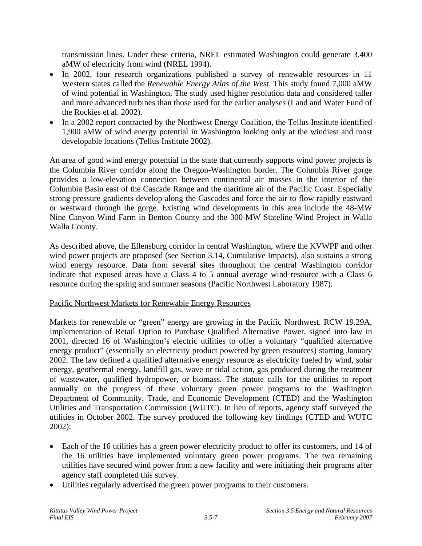transmission lines. Under these criteria, NREL estimated Washington could generate 3,400 aMW of electricity from wind (NREL 1994).

- In 2002, four research organizations published a survey of renewable resources in 11 Western states called the *Renewable Energy Atlas of the West*. This study found 7,000 aMW of wind potential in Washington. The study used higher resolution data and considered taller and more advanced turbines than those used for the earlier analyses (Land and Water Fund of the Rockies et al. 2002).
- In a 2002 report contracted by the Northwest Energy Coalition, the Tellus Institute identified 1,900 aMW of wind energy potential in Washington looking only at the windiest and most developable locations (Tellus Institute 2002).

An area of good wind energy potential in the state that currently supports wind power projects is the Columbia River corridor along the Oregon-Washington border. The Columbia River gorge provides a low-elevation connection between continental air masses in the interior of the Columbia Basin east of the Cascade Range and the maritime air of the Pacific Coast. Especially strong pressure gradients develop along the Cascades and force the air to flow rapidly eastward or westward through the gorge. Existing wind developments in this area include the 48-MW Nine Canyon Wind Farm in Benton County and the 300-MW Stateline Wind Project in Walla Walla County.

As described above, the Ellensburg corridor in central Washington, where the KVWPP and other wind power projects are proposed (see Section 3.14, Cumulative Impacts), also sustains a strong wind energy resource. Data from several sites throughout the central Washington corridor indicate that exposed areas have a Class 4 to 5 annual average wind resource with a Class 6 resource during the spring and summer seasons (Pacific Northwest Laboratory 1987).

# Pacific Northwest Markets for Renewable Energy Resources

Markets for renewable or "green" energy are growing in the Pacific Northwest. RCW 19.29A, Implementation of Retail Option to Purchase Qualified Alternative Power, signed into law in 2001, directed 16 of Washington's electric utilities to offer a voluntary "qualified alternative energy product" (essentially an electricity product powered by green resources) starting January 2002. The law defined a qualified alternative energy resource as electricity fueled by wind, solar energy, geothermal energy, landfill gas, wave or tidal action, gas produced during the treatment of wastewater, qualified hydropower, or biomass. The statute calls for the utilities to report annually on the progress of these voluntary green power programs to the Washington Department of Community, Trade, and Economic Development (CTED) and the Washington Utilities and Transportation Commission (WUTC). In lieu of reports, agency staff surveyed the utilities in October 2002. The survey produced the following key findings (CTED and WUTC 2002):

- Each of the 16 utilities has a green power electricity product to offer its customers, and 14 of the 16 utilities have implemented voluntary green power programs. The two remaining utilities have secured wind power from a new facility and were initiating their programs after agency staff completed this survey.
- Utilities regularly advertised the green power programs to their customers.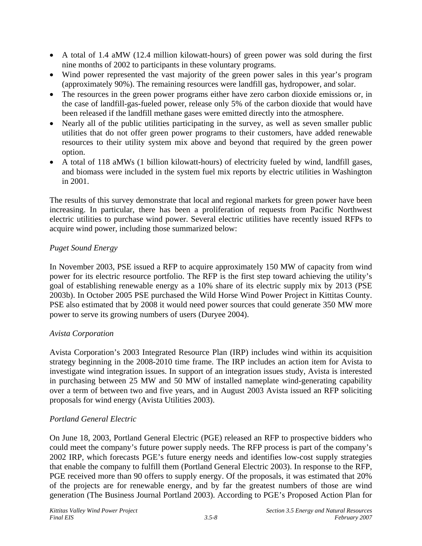- A total of 1.4 aMW (12.4 million kilowatt-hours) of green power was sold during the first nine months of 2002 to participants in these voluntary programs.
- Wind power represented the vast majority of the green power sales in this year's program (approximately 90%). The remaining resources were landfill gas, hydropower, and solar.
- The resources in the green power programs either have zero carbon dioxide emissions or, in the case of landfill-gas-fueled power, release only 5% of the carbon dioxide that would have been released if the landfill methane gases were emitted directly into the atmosphere.
- Nearly all of the public utilities participating in the survey, as well as seven smaller public utilities that do not offer green power programs to their customers, have added renewable resources to their utility system mix above and beyond that required by the green power option.
- A total of 118 aMWs (1 billion kilowatt-hours) of electricity fueled by wind, landfill gases, and biomass were included in the system fuel mix reports by electric utilities in Washington in 2001.

The results of this survey demonstrate that local and regional markets for green power have been increasing. In particular, there has been a proliferation of requests from Pacific Northwest electric utilities to purchase wind power. Several electric utilities have recently issued RFPs to acquire wind power, including those summarized below:

# *Puget Sound Energy*

In November 2003, PSE issued a RFP to acquire approximately 150 MW of capacity from wind power for its electric resource portfolio. The RFP is the first step toward achieving the utility's goal of establishing renewable energy as a 10% share of its electric supply mix by 2013 (PSE 2003b). In October 2005 PSE purchased the Wild Horse Wind Power Project in Kittitas County. PSE also estimated that by 2008 it would need power sources that could generate 350 MW more power to serve its growing numbers of users (Duryee 2004).

# *Avista Corporation*

Avista Corporation's 2003 Integrated Resource Plan (IRP) includes wind within its acquisition strategy beginning in the 2008-2010 time frame. The IRP includes an action item for Avista to investigate wind integration issues. In support of an integration issues study, Avista is interested in purchasing between 25 MW and 50 MW of installed nameplate wind-generating capability over a term of between two and five years, and in August 2003 Avista issued an RFP soliciting proposals for wind energy (Avista Utilities 2003).

# *Portland General Electric*

On June 18, 2003, Portland General Electric (PGE) released an RFP to prospective bidders who could meet the company's future power supply needs. The RFP process is part of the company's 2002 IRP, which forecasts PGE's future energy needs and identifies low-cost supply strategies that enable the company to fulfill them (Portland General Electric 2003). In response to the RFP, PGE received more than 90 offers to supply energy. Of the proposals, it was estimated that 20% of the projects are for renewable energy, and by far the greatest numbers of those are wind generation (The Business Journal Portland 2003). According to PGE's Proposed Action Plan for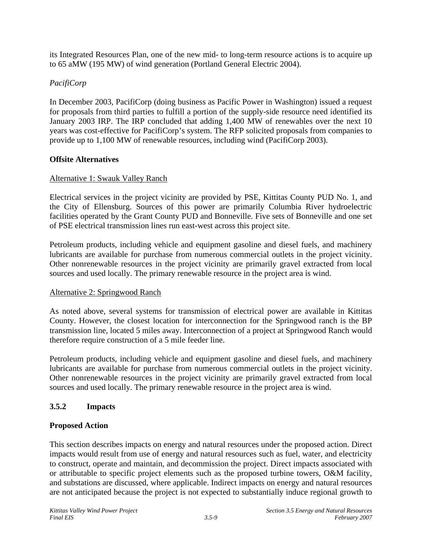its Integrated Resources Plan, one of the new mid- to long-term resource actions is to acquire up to 65 aMW (195 MW) of wind generation (Portland General Electric 2004).

# *PacifiCorp*

In December 2003, PacifiCorp (doing business as Pacific Power in Washington) issued a request for proposals from third parties to fulfill a portion of the supply-side resource need identified its January 2003 IRP. The IRP concluded that adding 1,400 MW of renewables over the next 10 years was cost-effective for PacifiCorp's system. The RFP solicited proposals from companies to provide up to 1,100 MW of renewable resources, including wind (PacifiCorp 2003).

# **Offsite Alternatives**

# Alternative 1: Swauk Valley Ranch

Electrical services in the project vicinity are provided by PSE, Kittitas County PUD No. 1, and the City of Ellensburg. Sources of this power are primarily Columbia River hydroelectric facilities operated by the Grant County PUD and Bonneville. Five sets of Bonneville and one set of PSE electrical transmission lines run east-west across this project site.

Petroleum products, including vehicle and equipment gasoline and diesel fuels, and machinery lubricants are available for purchase from numerous commercial outlets in the project vicinity. Other nonrenewable resources in the project vicinity are primarily gravel extracted from local sources and used locally. The primary renewable resource in the project area is wind.

# Alternative 2: Springwood Ranch

As noted above, several systems for transmission of electrical power are available in Kittitas County. However, the closest location for interconnection for the Springwood ranch is the BP transmission line, located 5 miles away. Interconnection of a project at Springwood Ranch would therefore require construction of a 5 mile feeder line.

Petroleum products, including vehicle and equipment gasoline and diesel fuels, and machinery lubricants are available for purchase from numerous commercial outlets in the project vicinity. Other nonrenewable resources in the project vicinity are primarily gravel extracted from local sources and used locally. The primary renewable resource in the project area is wind.

# **3.5.2 Impacts**

# **Proposed Action**

This section describes impacts on energy and natural resources under the proposed action. Direct impacts would result from use of energy and natural resources such as fuel, water, and electricity to construct, operate and maintain, and decommission the project. Direct impacts associated with or attributable to specific project elements such as the proposed turbine towers, O&M facility, and substations are discussed, where applicable. Indirect impacts on energy and natural resources are not anticipated because the project is not expected to substantially induce regional growth to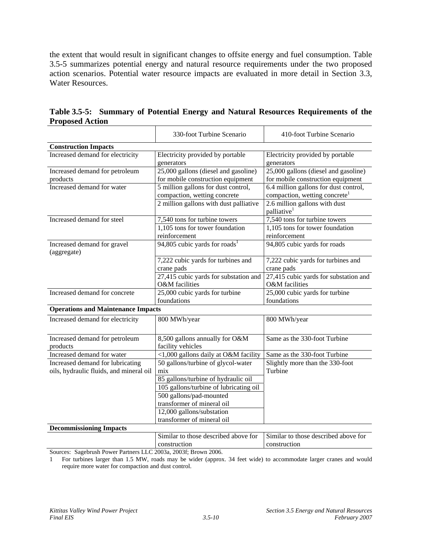the extent that would result in significant changes to offsite energy and fuel consumption. Table 3.5-5 summarizes potential energy and natural resource requirements under the two proposed action scenarios. Potential water resource impacts are evaluated in more detail in Section 3.3, Water Resources.

|                                                                             | 330-foot Turbine Scenario                                                 | 410-foot Turbine Scenario                                                          |  |
|-----------------------------------------------------------------------------|---------------------------------------------------------------------------|------------------------------------------------------------------------------------|--|
| <b>Construction Impacts</b>                                                 |                                                                           |                                                                                    |  |
| Increased demand for electricity                                            | Electricity provided by portable<br>generators                            | Electricity provided by portable<br>generators                                     |  |
| Increased demand for petroleum<br>products                                  | 25,000 gallons (diesel and gasoline)<br>for mobile construction equipment | 25,000 gallons (diesel and gasoline)<br>for mobile construction equipment          |  |
| Increased demand for water                                                  | 5 million gallons for dust control,<br>compaction, wetting concrete       | 6.4 million gallons for dust control,<br>compaction, wetting concrete <sup>1</sup> |  |
|                                                                             | 2 million gallons with dust palliative                                    | 2.6 million gallons with dust<br>palliative <sup>1</sup>                           |  |
| Increased demand for steel                                                  | 7,540 tons for turbine towers                                             | 7,540 tons for turbine towers                                                      |  |
|                                                                             | 1,105 tons for tower foundation<br>reinforcement                          | 1,105 tons for tower foundation<br>reinforcement                                   |  |
| Increased demand for gravel<br>(aggregate)                                  | 94,805 cubic yards for roads <sup>1</sup>                                 | 94,805 cubic yards for roads                                                       |  |
|                                                                             | 7,222 cubic yards for turbines and<br>crane pads                          | 7,222 cubic yards for turbines and<br>crane pads                                   |  |
|                                                                             | 27,415 cubic yards for substation and<br>O&M facilities                   | 27,415 cubic yards for substation and<br>O&M facilities                            |  |
| Increased demand for concrete                                               | 25,000 cubic yards for turbine                                            | 25,000 cubic yards for turbine                                                     |  |
|                                                                             | foundations                                                               | foundations                                                                        |  |
| <b>Operations and Maintenance Impacts</b>                                   |                                                                           |                                                                                    |  |
| Increased demand for electricity                                            | 800 MWh/year                                                              | 800 MWh/year                                                                       |  |
| Increased demand for petroleum<br>products                                  | 8,500 gallons annually for O&M<br>facility vehicles                       | Same as the 330-foot Turbine                                                       |  |
| Increased demand for water                                                  | <1,000 gallons daily at O&M facility                                      | Same as the 330-foot Turbine                                                       |  |
| Increased demand for lubricating<br>oils, hydraulic fluids, and mineral oil | 50 gallons/turbine of glycol-water<br>mix                                 | Slightly more than the 330-foot<br>Turbine                                         |  |
|                                                                             | 85 gallons/turbine of hydraulic oil                                       |                                                                                    |  |
|                                                                             | 105 gallons/turbine of lubricating oil                                    |                                                                                    |  |
|                                                                             | 500 gallons/pad-mounted                                                   |                                                                                    |  |
|                                                                             | transformer of mineral oil                                                |                                                                                    |  |
|                                                                             | 12,000 gallons/substation                                                 |                                                                                    |  |
|                                                                             | transformer of mineral oil                                                |                                                                                    |  |
| <b>Decommissioning Impacts</b>                                              |                                                                           |                                                                                    |  |
|                                                                             | Similar to those described above for                                      | Similar to those described above for                                               |  |

**Table 3.5-5: Summary of Potential Energy and Natural Resources Requirements of the Proposed Action** 

Sources: Sagebrush Power Partners LLC 2003a, 2003f; Brown 2006.

1 For turbines larger than 1.5 MW, roads may be wider (approx. 34 feet wide) to accommodate larger cranes and would require more water for compaction and dust control.

construction

construction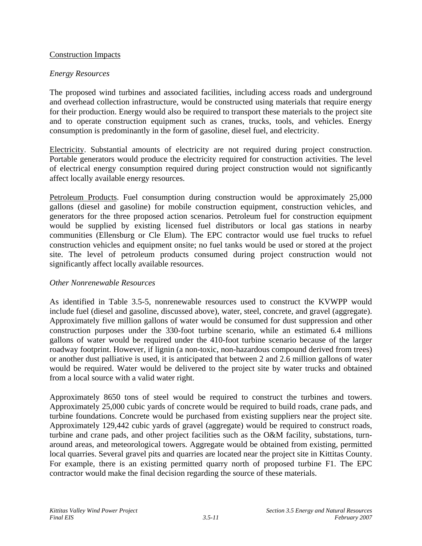#### Construction Impacts

#### *Energy Resources*

The proposed wind turbines and associated facilities, including access roads and underground and overhead collection infrastructure, would be constructed using materials that require energy for their production. Energy would also be required to transport these materials to the project site and to operate construction equipment such as cranes, trucks, tools, and vehicles. Energy consumption is predominantly in the form of gasoline, diesel fuel, and electricity.

Electricity. Substantial amounts of electricity are not required during project construction. Portable generators would produce the electricity required for construction activities. The level of electrical energy consumption required during project construction would not significantly affect locally available energy resources.

Petroleum Products. Fuel consumption during construction would be approximately 25,000 gallons (diesel and gasoline) for mobile construction equipment, construction vehicles, and generators for the three proposed action scenarios. Petroleum fuel for construction equipment would be supplied by existing licensed fuel distributors or local gas stations in nearby communities (Ellensburg or Cle Elum). The EPC contractor would use fuel trucks to refuel construction vehicles and equipment onsite; no fuel tanks would be used or stored at the project site. The level of petroleum products consumed during project construction would not significantly affect locally available resources.

#### *Other Nonrenewable Resources*

As identified in Table 3.5-5, nonrenewable resources used to construct the KVWPP would include fuel (diesel and gasoline, discussed above), water, steel, concrete, and gravel (aggregate). Approximately five million gallons of water would be consumed for dust suppression and other construction purposes under the 330-foot turbine scenario, while an estimated 6.4 millions gallons of water would be required under the 410-foot turbine scenario because of the larger roadway footprint. However, if lignin (a non-toxic, non-hazardous compound derived from trees) or another dust palliative is used, it is anticipated that between 2 and 2.6 million gallons of water would be required. Water would be delivered to the project site by water trucks and obtained from a local source with a valid water right.

Approximately 8650 tons of steel would be required to construct the turbines and towers. Approximately 25,000 cubic yards of concrete would be required to build roads, crane pads, and turbine foundations. Concrete would be purchased from existing suppliers near the project site. Approximately 129,442 cubic yards of gravel (aggregate) would be required to construct roads, turbine and crane pads, and other project facilities such as the O&M facility, substations, turnaround areas, and meteorological towers. Aggregate would be obtained from existing, permitted local quarries. Several gravel pits and quarries are located near the project site in Kittitas County. For example, there is an existing permitted quarry north of proposed turbine F1. The EPC contractor would make the final decision regarding the source of these materials.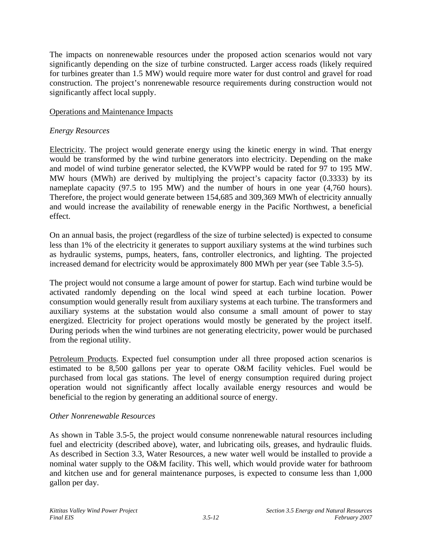The impacts on nonrenewable resources under the proposed action scenarios would not vary significantly depending on the size of turbine constructed. Larger access roads (likely required for turbines greater than 1.5 MW) would require more water for dust control and gravel for road construction. The project's nonrenewable resource requirements during construction would not significantly affect local supply.

#### Operations and Maintenance Impacts

#### *Energy Resources*

Electricity. The project would generate energy using the kinetic energy in wind. That energy would be transformed by the wind turbine generators into electricity. Depending on the make and model of wind turbine generator selected, the KVWPP would be rated for 97 to 195 MW. MW hours (MWh) are derived by multiplying the project's capacity factor (0.3333) by its nameplate capacity (97.5 to 195 MW) and the number of hours in one year (4,760 hours). Therefore, the project would generate between 154,685 and 309,369 MWh of electricity annually and would increase the availability of renewable energy in the Pacific Northwest, a beneficial effect.

On an annual basis, the project (regardless of the size of turbine selected) is expected to consume less than 1% of the electricity it generates to support auxiliary systems at the wind turbines such as hydraulic systems, pumps, heaters, fans, controller electronics, and lighting. The projected increased demand for electricity would be approximately 800 MWh per year (see Table 3.5-5).

The project would not consume a large amount of power for startup. Each wind turbine would be activated randomly depending on the local wind speed at each turbine location. Power consumption would generally result from auxiliary systems at each turbine. The transformers and auxiliary systems at the substation would also consume a small amount of power to stay energized. Electricity for project operations would mostly be generated by the project itself. During periods when the wind turbines are not generating electricity, power would be purchased from the regional utility.

Petroleum Products. Expected fuel consumption under all three proposed action scenarios is estimated to be 8,500 gallons per year to operate O&M facility vehicles. Fuel would be purchased from local gas stations. The level of energy consumption required during project operation would not significantly affect locally available energy resources and would be beneficial to the region by generating an additional source of energy.

#### *Other Nonrenewable Resources*

As shown in Table 3.5-5, the project would consume nonrenewable natural resources including fuel and electricity (described above), water, and lubricating oils, greases, and hydraulic fluids. As described in Section 3.3, Water Resources, a new water well would be installed to provide a nominal water supply to the O&M facility. This well, which would provide water for bathroom and kitchen use and for general maintenance purposes, is expected to consume less than 1,000 gallon per day.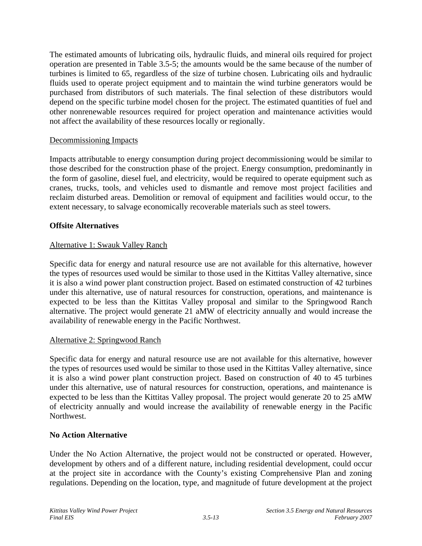The estimated amounts of lubricating oils, hydraulic fluids, and mineral oils required for project operation are presented in Table 3.5-5; the amounts would be the same because of the number of turbines is limited to 65, regardless of the size of turbine chosen. Lubricating oils and hydraulic fluids used to operate project equipment and to maintain the wind turbine generators would be purchased from distributors of such materials. The final selection of these distributors would depend on the specific turbine model chosen for the project. The estimated quantities of fuel and other nonrenewable resources required for project operation and maintenance activities would not affect the availability of these resources locally or regionally.

#### Decommissioning Impacts

Impacts attributable to energy consumption during project decommissioning would be similar to those described for the construction phase of the project. Energy consumption, predominantly in the form of gasoline, diesel fuel, and electricity, would be required to operate equipment such as cranes, trucks, tools, and vehicles used to dismantle and remove most project facilities and reclaim disturbed areas. Demolition or removal of equipment and facilities would occur, to the extent necessary, to salvage economically recoverable materials such as steel towers.

#### **Offsite Alternatives**

#### Alternative 1: Swauk Valley Ranch

Specific data for energy and natural resource use are not available for this alternative, however the types of resources used would be similar to those used in the Kittitas Valley alternative, since it is also a wind power plant construction project. Based on estimated construction of 42 turbines under this alternative, use of natural resources for construction, operations, and maintenance is expected to be less than the Kittitas Valley proposal and similar to the Springwood Ranch alternative. The project would generate 21 aMW of electricity annually and would increase the availability of renewable energy in the Pacific Northwest.

# Alternative 2: Springwood Ranch

Specific data for energy and natural resource use are not available for this alternative, however the types of resources used would be similar to those used in the Kittitas Valley alternative, since it is also a wind power plant construction project. Based on construction of 40 to 45 turbines under this alternative, use of natural resources for construction, operations, and maintenance is expected to be less than the Kittitas Valley proposal. The project would generate 20 to 25 aMW of electricity annually and would increase the availability of renewable energy in the Pacific Northwest.

#### **No Action Alternative**

Under the No Action Alternative, the project would not be constructed or operated. However, development by others and of a different nature, including residential development, could occur at the project site in accordance with the County's existing Comprehensive Plan and zoning regulations. Depending on the location, type, and magnitude of future development at the project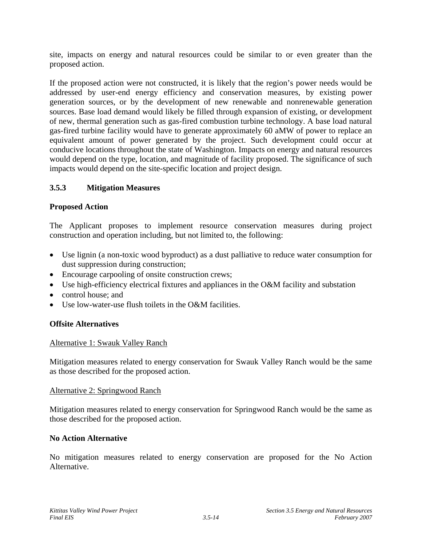site, impacts on energy and natural resources could be similar to or even greater than the proposed action.

If the proposed action were not constructed, it is likely that the region's power needs would be addressed by user-end energy efficiency and conservation measures, by existing power generation sources, or by the development of new renewable and nonrenewable generation sources. Base load demand would likely be filled through expansion of existing, or development of new, thermal generation such as gas-fired combustion turbine technology. A base load natural gas-fired turbine facility would have to generate approximately 60 aMW of power to replace an equivalent amount of power generated by the project. Such development could occur at conducive locations throughout the state of Washington. Impacts on energy and natural resources would depend on the type, location, and magnitude of facility proposed. The significance of such impacts would depend on the site-specific location and project design.

# **3.5.3 Mitigation Measures**

# **Proposed Action**

The Applicant proposes to implement resource conservation measures during project construction and operation including, but not limited to, the following:

- Use lignin (a non-toxic wood byproduct) as a dust palliative to reduce water consumption for dust suppression during construction;
- Encourage carpooling of onsite construction crews;
- Use high-efficiency electrical fixtures and appliances in the O&M facility and substation
- control house: and
- Use low-water-use flush toilets in the O&M facilities.

# **Offsite Alternatives**

# Alternative 1: Swauk Valley Ranch

Mitigation measures related to energy conservation for Swauk Valley Ranch would be the same as those described for the proposed action.

#### Alternative 2: Springwood Ranch

Mitigation measures related to energy conservation for Springwood Ranch would be the same as those described for the proposed action.

# **No Action Alternative**

No mitigation measures related to energy conservation are proposed for the No Action Alternative.